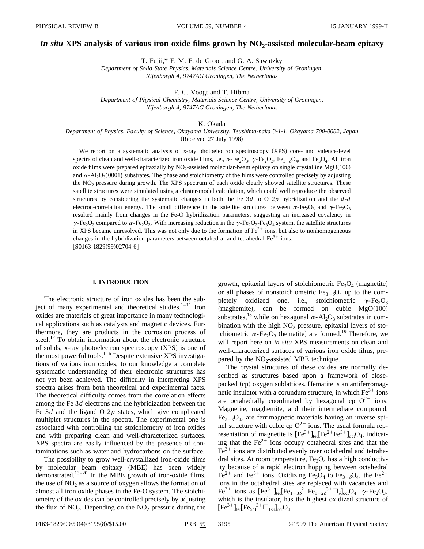# *In situ* XPS analysis of various iron oxide films grown by NO<sub>2</sub>-assisted molecular-beam epitaxy

T. Fujii,\* F. M. F. de Groot, and G. A. Sawatzky

*Department of Solid State Physics, Materials Science Centre, University of Groningen, Nijenborgh 4, 9747AG Groningen, The Netherlands*

F. C. Voogt and T. Hibma

*Department of Physical Chemistry, Materials Science Centre, University of Groningen, Nijenborgh 4, 9747AG Groningen, The Netherlands*

K. Okada

*Department of Physics, Faculty of Science, Okayama University, Tsushima-naka 3-1-1, Okayama 700-0082, Japan* (Received 27 July 1998)

We report on a systematic analysis of x-ray photoelectron spectroscopy (XPS) core- and valence-level spectra of clean and well-characterized iron oxide films, i.e.,  $\alpha$ -Fe<sub>2</sub>O<sub>3</sub>,  $\gamma$ -Fe<sub>2</sub>O<sub>3</sub>, Fe<sub>3- $\delta$ </sub>O<sub>4</sub>, and Fe<sub>3</sub>O<sub>4</sub>. All iron oxide films were prepared epitaxially by  $NO<sub>2</sub>$ -assisted molecular-beam epitaxy on single crystalline MgO $(100)$ and  $\alpha$ -Al<sub>2</sub>O<sub>3</sub>(0001) substrates. The phase and stoichiometry of the films were controlled precisely by adjusting the NO<sub>2</sub> pressure during growth. The XPS spectrum of each oxide clearly showed satellite structures. These satellite structures were simulated using a cluster-model calculation, which could well reproduce the observed structures by considering the systematic changes in both the Fe 3*d* to O 2*p* hybridization and the *d*-*d* electron-correlation energy. The small difference in the satellite structures between  $\alpha$ -Fe<sub>2</sub>O<sub>3</sub> and  $\gamma$ -Fe<sub>2</sub>O<sub>3</sub> resulted mainly from changes in the Fe-O hybridization parameters, suggesting an increased covalency in  $\gamma$ -Fe<sub>2</sub>O<sub>3</sub> compared to  $\alpha$ -Fe<sub>2</sub>O<sub>3</sub>. With increasing reduction in the  $\gamma$ -Fe<sub>2</sub>O<sub>3</sub>-Fe<sub>3</sub>O<sub>4</sub> system, the satellite structures in XPS became unresolved. This was not only due to the formation of  $Fe<sup>2+</sup>$  ions, but also to nonhomogeneous changes in the hybridization parameters between octahedral and tetrahedral  $Fe^{3+}$  ions.  $[ S0163-1829(99)02704-6 ]$ 

## **I. INTRODUCTION**

The electronic structure of iron oxides has been the subject of many experimental and theoretical studies. $1-11$  Iron oxides are materials of great importance in many technological applications such as catalysts and magnetic devices. Furthermore, they are products in the corrosion process of steel.<sup>12</sup> To obtain information about the electronic structure of solids, x-ray photoelectron spectroscopy  $(XPS)$  is one of the most powerful tools.<sup>1–6</sup> Despite extensive XPS investigations of various iron oxides, to our knowledge a complete systematic understanding of their electronic structures has not yet been achieved. The difficulty in interpreting XPS spectra arises from both theoretical and experimental facts. The theoretical difficulty comes from the correlation effects among the Fe 3*d* electrons and the hybridization between the Fe 3*d* and the ligand O 2*p* states, which give complicated multiplet structures in the spectra. The experimental one is associated with controlling the stoichiometry of iron oxides and with preparing clean and well-characterized surfaces. XPS spectra are easily influenced by the presence of contaminations such as water and hydrocarbons on the surface.

The possibility to grow well-crystallized iron-oxide films by molecular beam epitaxy (MBE) has been widely demonstrated.<sup>13-20</sup> In the MBE growth of iron-oxide films, the use of  $NO<sub>2</sub>$  as a source of oxygen allows the formation of almost all iron oxide phases in the Fe-O system. The stoichiometry of the oxides can be controlled precisely by adjusting the flux of  $NO<sub>2</sub>$ . Depending on the  $NO<sub>2</sub>$  pressure during the growth, epitaxial layers of stoichiometric  $Fe<sub>3</sub>O<sub>4</sub>$  (magnetite) or all phases of nonstoichiometric  $Fe_{3-6}O_4$  up to the completely oxidized one, i.e., stoichiometric  $\gamma$ -Fe<sub>2</sub>O<sub>3</sub>  $(magnetic)$ , can be formed on cubic  $MgO(100)$ substrates,<sup>18</sup> while on hexagonal  $\alpha$ -Al<sub>2</sub>O<sub>3</sub> substrates in combination with the high  $NO<sub>2</sub>$  pressure, epitaxial layers of stoichiometric  $\alpha$ -Fe<sub>2</sub>O<sub>3</sub> (hematite) are formed.<sup>19</sup> Therefore, we will report here on *in situ* XPS measurements on clean and well-characterized surfaces of various iron oxide films, prepared by the  $NO<sub>2</sub>$ -assisted MBE technique.

The crystal structures of these oxides are normally described as structures based upon a framework of closepacked (cp) oxygen sublattices. Hematite is an antiferromagnetic insulator with a corundum structure, in which  $Fe<sup>3+</sup>$  ions are octahedrally coordinated by hexagonal cp  $O^{2-}$  ions. Magnetite, maghemite, and their intermediate compound,  $Fe_{3-6}O_4$ , are ferrimagnetic materials having an inverse spinel structure with cubic cp  $O^{2-}$  ions. The usual formula representation of magnetite is  $[Fe^{3+}]_{\text{ref}}[Fe^{2+}Fe^{3+}]_{\text{oct}}O_4$ , indicating that the  $Fe<sup>2+</sup>$  ions occupy octahedral sites and that the  $Fe<sup>3+</sup>$  ions are distributed evenly over octahedral and tetrahedral sites. At room temperature,  $Fe<sub>3</sub>O<sub>4</sub>$  has a high conductivity because of a rapid electron hopping between octahedral  $Fe^{2+}$  and Fe<sup>3+</sup> ions. Oxidizing Fe<sub>3</sub>O<sub>4</sub> to Fe<sub>3- $\delta$ </sub>O<sub>4</sub>, the Fe<sup>2+</sup> ions in the octahedral sites are replaced with vacancies and  $\text{Fe}^{3+}$  ions as  $\text{[Fe}^{3+}\text{]}_{\text{tet}}\text{[Fe}_{1-3\delta}^{2+}\text{Fe}_{1+2\delta}^{3+}\Box_{\delta}\text{]}_{\text{oct}}\text{O}_4$ .  $\gamma$ -Fe<sub>2</sub>O<sub>3</sub>, which is the insulator, has the highest oxidized structure of  $[Fe^{3+}]_{\text{tet}}[Fe_{5/3}^{3+} \Box_{1/3}]_{\text{oct}}O_4.$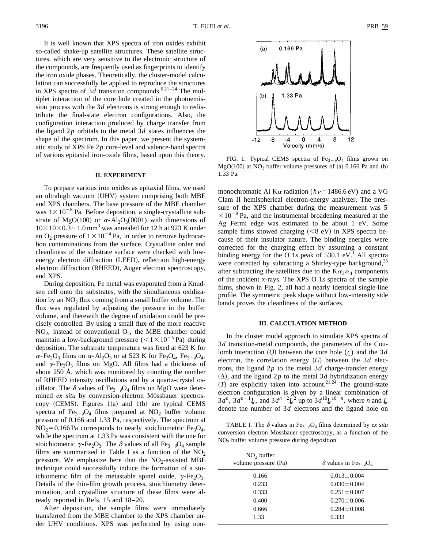It is well known that XPS spectra of iron oxides exhibit so-called shake-up satellite structures. These satellite structures, which are very sensitive to the electronic structure of the compounds, are frequently used as fingerprints to identify the iron oxide phases. Theoretically, the cluster-model calculation can successfully be applied to reproduce the structures in XPS spectra of 3*d* transition compounds.<sup>6,21–24</sup> The multiplet interaction of the core hole created in the photoemission process with the 3*d* electrons is strong enough to redistribute the final-state electron configurations. Also, the configuration interaction produced by charge transfer from the ligand 2*p* orbitals to the metal 3*d* states influences the shape of the spectrum. In this paper, we present the systematic study of XPS Fe 2*p* core-level and valence-band spectra of various epitaxial iron-oxide films, based upon this theory.

#### **II. EXPERIMENT**

To prepare various iron oxides as epitaxial films, we used an ultrahigh vacuum (UHV) system comprising both MBE and XPS chambers. The base pressure of the MBE chamber was  $1 \times 10^{-8}$  Pa. Before deposition, a single-crystalline substrate of MgO(100) or  $\alpha$ -Al<sub>2</sub>O<sub>3</sub>(0001) with dimensions of  $10\times10\times0.3\sim1.0$  mm<sup>3</sup> was annealed for 12 h at 923 K under an O<sub>2</sub> pressure of  $1\times10^{-4}$  Pa, in order to remove hydrocarbon contaminations from the surface. Crystalline order and cleanliness of the substrate surface were checked with lowenergy electron diffraction (LEED), reflection high-energy electron diffraction (RHEED), Auger electron spectroscopy, and XPS.

During deposition, Fe metal was evaporated from a Knudsen cell onto the substrates, with the simultaneous oxidization by an  $NO<sub>2</sub>$  flux coming from a small buffer volume. The flux was regulated by adjusting the pressure in the buffer volume, and therewith the degree of oxidation could be precisely controlled. By using a small flux of the more reactive  $NO<sub>2</sub>$ , instead of conventional  $O<sub>2</sub>$ , the MBE chamber could maintain a low-background pressure  $(<1\times10^{-5}$  Pa) during deposition. The substrate temperature was fixed at 623 K for  $\alpha$ -Fe<sub>2</sub>O<sub>3</sub> films on  $\alpha$ -Al<sub>2</sub>O<sub>3</sub> or at 523 K for Fe<sub>3</sub>O<sub>4</sub>, Fe<sub>3- $\delta$ </sub>O<sub>4</sub>, and  $\gamma$ -Fe<sub>2</sub>O<sub>3</sub> films on MgO. All films had a thickness of about 250 Å, which was monitored by counting the number of RHEED intensity oscillations and by a quartz-crystal oscillator. The  $\delta$  values of Fe<sub>3- $\delta$ </sub>O<sub>4</sub> films on MgO were determined *ex situ* by conversion-electron Mössbauer spectroscopy (CEMS). Figures  $1(a)$  and  $1(b)$  are typical CEMS spectra of Fe<sub>3- $\delta$ </sub>O<sub>4</sub> films prepared at NO<sub>2</sub> buffer volume pressure of 0.166 and 1.33 Pa, respectively. The spectrum at  $NO<sub>2</sub>=0.166$  Pa corresponds to nearly stoichiometric Fe<sub>3</sub>O<sub>4</sub>, while the spectrum at 1.33 Pa was consistent with the one for stoichiometric  $\gamma$ -Fe<sub>2</sub>O<sub>3</sub>. The  $\delta$  values of all Fe<sub>3- $\delta$ </sub>O<sub>4</sub> sample films are summarized in Table I as a function of the  $NO<sub>2</sub>$ pressure. We emphasize here that the  $NO<sub>2</sub>$ -assisted MBE technique could successfully induce the formation of a stoichiometric film of the metastable spinel oxide,  $\gamma$ -Fe<sub>2</sub>O<sub>3</sub>. Details of the thin-film growth process, stoichiometry determination, and crystalline structure of these films were already reported in Refs. 15 and 18–20.

After deposition, the sample films were immediately transferred from the MBE chamber to the XPS chamber under UHV conditions. XPS was performed by using non-



FIG. 1. Typical CEMS spectra of  $Fe_{3-\delta}O_4$  films grown on  $MgO(100)$  at  $NO<sub>2</sub>$  buffer volume pressures of (a) 0.166 Pa and (b) 1.33 Pa.

monochromatic Al K $\alpha$  radiation ( $h\nu=1486.6$  eV) and a VG Clam II hemispherical electron-energy analyzer. The pressure of the XPS chamber during the measurement was 5  $\times 10^{-9}$  Pa, and the instrumental broadening measured at the Ag Fermi edge was estimated to be about 1 eV. Some sample films showed charging  $(<8 \text{ eV})$  in XPS spectra because of their insulator nature. The binding energies were corrected for the charging effect by assuming a constant binding energy for the O 1s peak of  $530.1$  eV.<sup>1</sup> All spectra were corrected by subtracting a Shirley-type background,<sup>25</sup> after subtracting the satellites due to the  $K\alpha_3\alpha_4$  components of the incident x-rays. The XPS O 1*s* spectra of the sample films, shown in Fig. 2, all had a nearly identical single-line profile. The symmetric peak shape without low-intensity side bands proves the cleanliness of the surfaces.

#### **III. CALCULATION METHOD**

In the cluster model approach to simulate XPS spectra of 3*d* transition-metal compounds, the parameters of the Coulomb interaction  $(Q)$  between the core hole  $(c)$  and the 3*d* electron, the correlation energy  $(U)$  between the 3*d* electrons, the ligand 2*p* to the metal 3*d* charge-transfer energy  $(\Delta)$ , and the ligand 2*p* to the metal 3*d* hybridization energy  $T$  are explicitly taken into account.<sup>21,24</sup> The ground-state electron configuration is given by a linear combination of  $3d^n$ ,  $3d^{n+1}L$ , and  $3d^{n+2}L^2$  up to  $3d^{10}L^{10-n}$ , where *n* and *L* denote the number of 3*d* electrons and the ligand hole on

TABLE I. The  $\delta$  values in Fe<sub>3- $\delta$ </sub>O<sub>4</sub> films determined by *ex situ* conversion electron Mössbauer spectroscopy, as a function of the  $NO<sub>2</sub>$  buffer volume pressure during deposition.

| NO <sub>2</sub> buffer<br>volume pressure (Pa) | $\delta$ values in Fe <sub>3-<math>\delta</math></sub> O <sub>4</sub> |
|------------------------------------------------|-----------------------------------------------------------------------|
| 0.166                                          | $0.013 \pm 0.004$                                                     |
| 0.233                                          | $0.030 \pm 0.004$                                                     |
| 0.333                                          | $0.251 \pm 0.007$                                                     |
| 0.400                                          | $0.270 \pm 0.006$                                                     |
| 0.666                                          | $0.284 \pm 0.008$                                                     |
| 1.33                                           | 0.333                                                                 |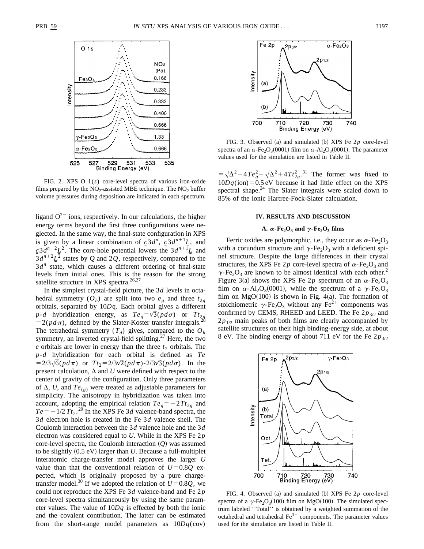

FIG. 2. XPS O 1(*s*) core-level spectra of various iron-oxide films prepared by the  $NO<sub>2</sub>$ -assisted MBE technique. The  $NO<sub>2</sub>$  buffer volume pressures during deposition are indicated in each spectrum.

ligand  $O^{2-}$  ions, respectively. In our calculations, the higher energy terms beyond the first three configurations were neglected. In the same way, the final-state configuration in XPS is given by a linear combination of  $c_2 \cdot 3d^n$ ,  $c_3 \cdot 3d^{n+1}L$ , and  $c^23d^{n+2}L^2$ . The core-hole potential lowers the  $3d^{n+1}L$  and  $3d^{n+2}L^2$  states by *Q* and 2*Q*, respectively, compared to the 3*d<sup>n</sup>* state, which causes a different ordering of final-state levels from initial ones. This is the reason for the strong satellite structure in XPS spectra.<sup>26,27</sup>

In the simplest crystal-field picture, the 3*d* levels in octahedral symmetry  $(O_h)$  are split into two  $e_g$  and three  $t_{2g}$ orbitals, separated by 10*D*q. Each orbital gives a different  $p$ -*d* hybridization energy, as  $Te_g = \sqrt{3}(pd\sigma)$  or  $Tt_{2g}$  $=2(p d\pi)$ , defined by the Slater-Koster transfer integrals.<sup>2</sup> The tetrahedral symmetry  $(T_d)$  gives, compared to the  $O_h$ symmetry, an inverted crystal-field splitting. $27$  Here, the two  $e$  orbitals are lower in energy than the three  $t_2$  orbitals. The *p*-*d* hybridization for each orbital is defined as *Te*  $=2/3\sqrt{6(\rho d\pi)}$  or  $Tt_2=2/3\sqrt{2}(\rho d\pi)-2/3\sqrt{3}(\rho d\sigma)$ . In the present calculation,  $\Delta$  and *U* were defined with respect to the center of gravity of the configuration. Only three parameters of  $\Delta$ , *U*, and  $Te_{(g)}$  were treated as adjustable parameters for simplicity. The anisotropy in hybridization was taken into account, adopting the empirical relation  $Te<sub>g</sub> = -2Tt<sub>2g</sub>$  and  $Te = -1/2 T t_2$ <sup>29</sup> In the XPS Fe 3*d* valence-band spectra, the 3*d* electron hole is created in the Fe 3*d* valence shell. The Coulomb interaction between the 3*d* valence hole and the 3*d* electron was considered equal to *U*. While in the XPS Fe 2*p* core-level spectra, the Coulomb interaction  $(Q)$  was assumed to be slightly  $(0.5 \text{ eV})$  larger than *U*. Because a full-multiplet interatomic charge-transfer model approves the larger *U* value than that the conventional relation of  $U=0.8Q$  expected, which is originally proposed by a pure chargetransfer model.<sup>30</sup> If we adopted the relation of  $U=0.8Q$ , we could not reproduce the XPS Fe 3*d* valence-band and Fe 2*p* core-level spectra simultaneously by using the same parameter values. The value of 10*Dq* is effected by both the ionic and the covalent contribution. The latter can be estimated from the short-range model parameters as 10*Dq*(cov)



FIG. 3. Observed (a) and simulated (b) XPS Fe  $2p$  core-level spectra of an  $\alpha$ -Fe<sub>2</sub>O<sub>3</sub>(0001) film on  $\alpha$ -Al<sub>2</sub>O<sub>3</sub>(0001). The parameter values used for the simulation are listed in Table II.

 $=\sqrt{\Delta^2+4Te_g^2}-\sqrt{\Delta^2+4Tt_{2g}^2}$ .<sup>31</sup> The former was fixed to  $10Dq$ (ion)=0.5 eV because it had little effect on the XPS spectral shape.<sup>24</sup> The Slater integrals were scaled down to 85% of the ionic Hartree-Fock-Slater calculation.

#### **IV. RESULTS AND DISCUSSION**

## **A.**  $\alpha$ -Fe<sub>2</sub>O<sub>3</sub> **and**  $\gamma$ -Fe<sub>2</sub>O<sub>3</sub> **films**

Ferric oxides are polymorphic, i.e., they occur as  $\alpha$ -Fe<sub>2</sub>O<sub>3</sub> with a corundum structure and  $\gamma$ -Fe<sub>2</sub>O<sub>3</sub> with a deficient spinel structure. Despite the large differences in their crystal structures, the XPS Fe 2p core-level spectra of  $\alpha$ -Fe<sub>2</sub>O<sub>3</sub> and  $\gamma$ -Fe<sub>2</sub>O<sub>3</sub> are known to be almost identical with each other.<sup>2</sup> Figure 3(a) shows the XPS Fe 2p spectrum of an  $\alpha$ -Fe<sub>2</sub>O<sub>3</sub> film on  $\alpha$ -Al<sub>2</sub>O<sub>3</sub>(0001), while the spectrum of a  $\gamma$ -Fe<sub>2</sub>O<sub>3</sub> film on  $MgO(100)$  is shown in Fig. 4(a). The formation of stoichiometric  $\gamma$ -Fe<sub>2</sub>O<sub>3</sub> without any Fe<sup>2+</sup> components was confirmed by CEMS, RHEED and LEED. The Fe  $2p_{3/2}$  and  $2p_{1/2}$  main peaks of both films are clearly accompanied by satellite structures on their high binding-energy side, at about 8 eV. The binding energy of about 711 eV for the Fe  $2p_{3/2}$ 



FIG. 4. Observed (a) and simulated (b) XPS Fe  $2p$  core-level spectra of a  $\gamma$ -Fe<sub>2</sub>O<sub>3</sub>(100) film on MgO(100). The simulated spectrum labeled ''Total'' is obtained by a weighted summation of the octahedral and tetrahedral  $Fe<sup>3+</sup>$  components. The parameter values used for the simulation are listed in Table II.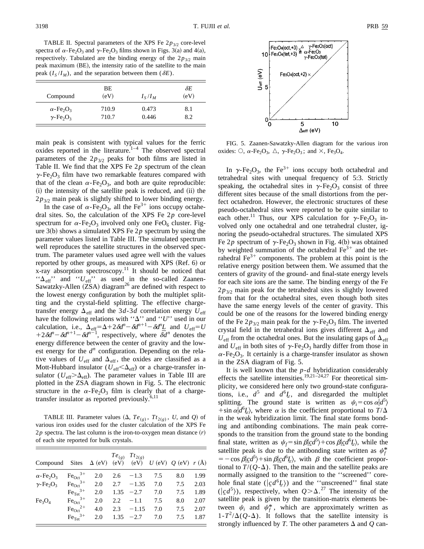TABLE II. Spectral parameters of the XPS Fe  $2p_{3/2}$  core-level spectra of  $\alpha$ -Fe<sub>2</sub>O<sub>3</sub> and  $\gamma$ -Fe<sub>2</sub>O<sub>3</sub> films shown in Figs. 3(a) and 4(a), respectively. Tabulated are the binding energy of the  $2p_{3/2}$  main peak maximum (BE), the intensity ratio of the satellite to the main peak  $(I_S/I_M)$ , and the separation between them  $(\delta E)$ .

| Compound                                 | <b>BE</b><br>(eV) | $I_{S}/I_{M}$ | $\delta E$<br>(eV) |
|------------------------------------------|-------------------|---------------|--------------------|
| $\alpha$ -Fe <sub>2</sub> O <sub>3</sub> | 710.9             | 0.473         | 8.1                |
| $\gamma$ -Fe <sub>2</sub> O <sub>3</sub> | 710.7             | 0.446         | 8.2                |

main peak is consistent with typical values for the ferric oxides reported in the literature. $1-4$  The observed spectral parameters of the  $2p_{3/2}$  peaks for both films are listed in Table II. We find that the XPS Fe 2*p* spectrum of the clean  $\gamma$ -Fe<sub>2</sub>O<sub>3</sub> film have two remarkable features compared with that of the clean  $\alpha$ -Fe<sub>2</sub>O<sub>3</sub>, and both are quite reproducible: (i) the intensity of the satellite peak is reduced, and (ii) the  $2p_{3/2}$  main peak is slightly shifted to lower binding energy.

In the case of  $\alpha$ -Fe<sub>2</sub>O<sub>3</sub>, all the Fe<sup>3+</sup> ions occupy octahedral sites. So, the calculation of the XPS Fe 2*p* core-level spectrum for  $\alpha$ -Fe<sub>2</sub>O<sub>3</sub> involved only one FeO<sub>6</sub> cluster. Figure  $3(b)$  shows a simulated XPS Fe  $2p$  spectrum by using the parameter values listed in Table III. The simulated spectrum well reproduces the satellite structures in the observed spectrum. The parameter values used agree well with the values reported by other groups, as measured with XPS  $(Ref. 6)$  or x-ray absorption spectroscopy.<sup>11</sup> It should be noticed that " $\Delta_{\text{eff}}$ " and " $U_{\text{eff}}$ " as used in the so-called Zaanen-Sawatzky-Allen  $(ZSA)$  diagram<sup>26</sup> are defined with respect to the lowest energy configuration by both the multiplet splitting and the crystal-field splitting. The effective chargetransfer energy  $\Delta_{\text{eff}}$  and the 3*d*-3*d* correlation energy  $U_{\text{eff}}$ have the following relations with " $\Delta$ " and "*U*" used in our calculation, i.e.,  $\Delta_{\text{eff}} = \Delta + 2 \delta d^{n} - \delta d^{n+1} - \delta d^{n} \underline{L}$  and  $U_{\text{eff}} = U$  $+2\delta d^{n}-\delta d^{n+1}-\delta d^{n-1}$ , respectively, where  $\overline{\delta d}^{n}$  denotes the energy difference between the center of gravity and the lowest energy for the  $d^n$  configuration. Depending on the relative values of  $U_{\text{eff}}$  and  $\Delta_{\text{eff}}$ , the oxides are classified as a Mott-Hubbard insulator ( $U_{\text{eff}}<\Delta_{\text{eff}}$ ) or a charge-transfer insulator ( $U_{\text{eff}}>\Delta_{\text{eff}}$ ). The parameter values in Table III are plotted in the ZSA diagram shown in Fig. 5. The electronic structure in the  $\alpha$ -Fe<sub>2</sub>O<sub>3</sub> film is clearly that of a chargetransfer insulator as reported previously.<sup>6,11</sup>

**TABLE III.** Parameter values  $(\Delta, Te_{(g)}, Tt_{2(g)}, U, \text{ and } Q)$  of various iron oxides used for the cluster calculation of the XPS Fe  $2p$  spectra. The last column is the iron-to-oxygen mean distance  $(r)$ of each site reported for bulk crystals.

| Compound Sites $\Delta$ (eV) (eV) (eV) $U$ (eV) $Q$ (eV) $r(A)$ |                               |     |      | $Te_{(g)}$ $Tt_{2(g)}$ |     |     |      |
|-----------------------------------------------------------------|-------------------------------|-----|------|------------------------|-----|-----|------|
| $\alpha$ -Fe <sub>2</sub> O <sub>3</sub>                        | $Fe_{Oct}^{3+}$               | 2.0 | 2.6  | $-1.3$                 | 7.5 | 8.0 | 1.99 |
| $\gamma$ -Fe <sub>2</sub> O <sub>3</sub>                        | $FeOct3+$                     | 2.0 | 2.7  | $-1.35$                | 7.0 | 7.5 | 2.03 |
|                                                                 | $Fe_{\text{Tet}}^{3+}$        | 2.0 | 1.35 | $-2.7$                 | 7.0 | 7.5 | 1.89 |
| Fe <sub>3</sub> O <sub>4</sub>                                  | $\text{Fe}_{\text{Oct}}^{3+}$ | 2.0 |      | $2.2 - 1.1$            | 7.5 | 8.0 | 2.07 |
|                                                                 | $Fe_{Oct}^{2+}$               | 4.0 | 2.3  | $-1.15$                | 7.0 | 7.5 | 2.07 |
|                                                                 | $Fe_{\text{Tet}}^{3+}$        | 2.0 | 1.35 | $-2.7$                 | 7.0 | 7.5 | 1.87 |





FIG. 5. Zaanen-Sawatzky-Allen diagram for the various iron oxides:  $\circ$ ,  $\alpha$ -Fe<sub>2</sub>O<sub>3</sub>,  $\triangle$ ,  $\gamma$ -Fe<sub>2</sub>O<sub>3</sub>; and  $\times$ , Fe<sub>3</sub>O<sub>4</sub>.

In  $\gamma$ -Fe<sub>2</sub>O<sub>3</sub>, the Fe<sup>3+</sup> ions occupy both octahedral and tetrahedral sites with unequal frequency of 5:3. Strictly speaking, the octahedral sites in  $\gamma$ -Fe<sub>2</sub>O<sub>3</sub> consist of three different sites because of the small distortions from the perfect octahedron. However, the electronic structures of these pseudo-octahedral sites were reported to be quite similar to each other.<sup>11</sup> Thus, our XPS calculation for  $\gamma$ -Fe<sub>2</sub>O<sub>3</sub> involved only one octahedral and one tetrahedral cluster, ignoring the pseudo-octahedral structures. The simulated XPS Fe 2p spectrum of  $\gamma$ -Fe<sub>2</sub>O<sub>3</sub> shown in Fig. 4(b) was obtained by weighted summation of the octahedral  $Fe<sup>3+</sup>$  and the tetrahedral  $Fe<sup>3+</sup>$  components. The problem at this point is the relative energy position between them. We assumed that the centers of gravity of the ground- and final-state energy levels for each site ions are the same. The binding energy of the Fe  $2p_{3/2}$  main peak for the tetrahedral sites is slightly lowered from that for the octahedral sites, even though both sites have the same energy levels of the center of gravity. This could be one of the reasons for the lowered binding energy of the Fe  $2p_{3/2}$  main peak for the  $\gamma$ -Fe<sub>2</sub>O<sub>3</sub> film. The inverted crystal field in the tetrahedral ions gives different  $\Delta_{\text{eff}}$  and  $U_{\text{eff}}$  from the octahedral ones. But the insulating gaps of  $\Delta_{\text{eff}}$ and  $U_{\text{eff}}$  in both sites of  $\gamma$ -Fe<sub>2</sub>O<sub>3</sub> hardly differ from those in  $\alpha$ -Fe<sub>2</sub>O<sub>3</sub>. It certainly is a charge-transfer insulator as shown in the ZSA diagram of Fig. 5.

It is well known that the *p*-*d* hybridization considerably effects the satellite intensities.<sup>19,21–24,27</sup> For theoretical simplicity, we considered here only two ground-state configurations, i.e.,  $d^5$  and  $d^6L$ , and disregarded the multiplet splitting. The ground state is written as  $\psi_i = \cos \alpha \vert d^5$ + sin  $\alpha | d^6L$ , where  $\alpha$  is the coefficient proportional to  $T/\Delta$ in the weak hybridization limit. The final state forms bonding and antibonding combinations. The main peak corresponds to the transition from the ground state to the bonding final state, written as  $\psi_f = \sin \beta \vert c d^5 \rangle + \cos \beta \vert c d^6 L \rangle$ , while the satellite peak is due to the antibonding state written as  $\psi_f^*$  $= -\cos \beta \vert \underline{c} d^5 \rangle + \sin \beta \vert \underline{c} d^6 \underline{L} \rangle$ , with  $\beta$  the coefficient proportional to  $T/(Q-\Delta)$ . Then, the main and the satellite peaks are normally assigned to the transition to the ''screened'' corehole final state  $(|c d^6 L\rangle)$  and the "unscreened" final state  $(|c d^5\rangle)$ , respectively, when  $Q > \Delta$ .<sup>27</sup> The intensity of the satellite peak is given by the transition-matrix elements between  $\psi_i$  and  $\psi_f^*$ , which are approximately written as  $1 - T^2/\Delta(O-\Delta)$ . It follows that the satellite intensity is strongly influenced by *T*. The other parameters  $\Delta$  and  $Q$  can-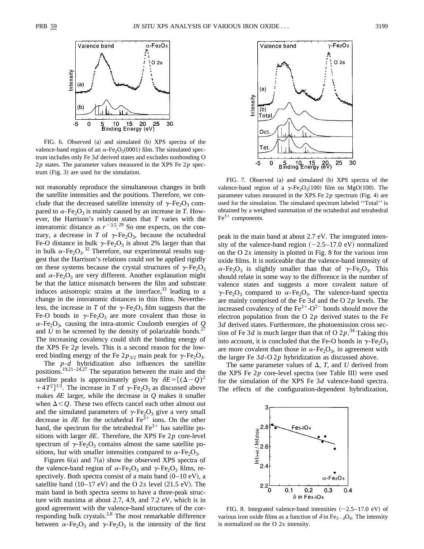

FIG. 6. Observed (a) and simulated (b) XPS spectra of the valence-band region of an  $\alpha$ -Fe<sub>2</sub>O<sub>3</sub>(0001) film. The simulated spectrum includes only Fe 3*d* derived states and excludes nonbonding O 2*p* states. The parameter values measured in the XPS Fe 2*p* spec $trum$  (Fig. 3) are used for the simulation.

not reasonably reproduce the simultaneous changes in both the satellite intensities and the positions. Therefore, we conclude that the decreased satellite intensity of  $\gamma$ -Fe<sub>2</sub>O<sub>3</sub> compared to  $\alpha$ -Fe<sub>2</sub>O<sub>3</sub> is mainly caused by an increase in *T*. However, the Harrison's relation states that *T* varies with the interatomic distance as  $r^{-3.5}$ .<sup>29</sup> So one expects, on the contrary, a decrease in *T* of  $\gamma$ -Fe<sub>2</sub>O<sub>3</sub>, because the octahedral Fe-O distance in bulk  $\gamma$ -Fe<sub>2</sub>O<sub>3</sub> is about 2% larger than that in bulk  $\alpha$ -Fe<sub>2</sub>O<sub>3</sub>.<sup>32</sup> Therefore, our experimental results suggest that the Harrison's relations could not be applied rigidly on these systems because the crystal structures of  $\gamma$ -Fe<sub>2</sub>O<sub>3</sub> and  $\alpha$ -Fe<sub>2</sub>O<sub>3</sub> are very different. Another explanation might be that the lattice mismatch between the film and substrate induces anisotropic strains at the interface, $33$  leading to a change in the interatomic distances in thin films. Nevertheless, the increase in *T* of the  $\gamma$ -Fe<sub>2</sub>O<sub>3</sub> film suggests that the Fe-O bonds in  $\gamma$ -Fe<sub>2</sub>O<sub>3</sub> are more covalent than those in  $\alpha$ -Fe<sub>2</sub>O<sub>3</sub>, causing the intra-atomic Coulomb energies of *Q* and  $U$  to be screened by the density of polarizable bonds.<sup>2</sup> The increasing covalency could shift the binding energy of the XPS Fe 2*p* levels. This is a second reason for the lowered binding energy of the Fe  $2p_{3/2}$  main peak for  $\gamma$ -Fe<sub>2</sub>O<sub>3</sub>.

The *p*-*d* hybridization also influences the satellite positions.<sup>19,21–24,27</sup> The separation between the main and the satellite peaks is approximately given by  $\delta E = [(\Delta - Q)^2]$  $+4T^2$ <sup> $1/2$ </sup>. The increase in *T* of  $\gamma$ -Fe<sub>2</sub>O<sub>3</sub> as discussed above makes  $\delta E$  larger, while the decrease in  $Q$  makes it smaller when  $\Delta < Q$ . These two effects cancel each other almost out and the simulated parameters of  $\gamma$ -Fe<sub>2</sub>O<sub>3</sub> give a very small decrease in  $\delta E$  for the octahedral  $\text{Fe}^{3+}$  ions. On the other hand, the spectrum for the tetrahedral  $Fe^{3+}$  has satellite positions with larger  $\delta E$ . Therefore, the XPS Fe 2p core-level spectrum of  $\gamma$ -Fe<sub>2</sub>O<sub>3</sub> contains almost the same satellite positions, but with smaller intensities compared to  $\alpha$ -Fe<sub>2</sub>O<sub>3</sub>.

Figures  $6(a)$  and  $7(a)$  show the observed XPS spectra of the valence-band region of  $\alpha$ -Fe<sub>2</sub>O<sub>3</sub> and  $\gamma$ -Fe<sub>2</sub>O<sub>3</sub> films, respectively. Both spectra consist of a main band  $(0-10 \text{ eV})$ , a satellite band  $(10-17 \text{ eV})$  and the O 2*s* level  $(21.5 \text{ eV})$ . The main band in both spectra seems to have a three-peak structure with maxima at about 2.7, 4.9, and 7.2 eV, which is in good agreement with the valence-band structures of the corresponding bulk crystals.<sup>2,8</sup> The most remarkable difference between  $\alpha$ -Fe<sub>2</sub>O<sub>3</sub> and  $\gamma$ -Fe<sub>2</sub>O<sub>3</sub> is the intensity of the first



FIG. 7. Observed (a) and simulated (b) XPS spectra of the valence-band region of a  $\gamma$ -Fe<sub>2</sub>O<sub>3</sub>(100) film on MgO(100). The parameter values measured in the XPS Fe  $2p$  spectrum (Fig. 4) are used for the simulation. The simulated spectrum labeled ''Total'' is obtained by a weighted summation of the octahedral and tetrahedral  $Fe<sup>3+</sup>$  components.

peak in the main band at about 2.7 eV. The integrated intensity of the valence-band region  $(-2.5-17.0 \text{ eV})$  normalized on the O 2*s* intensity is plotted in Fig. 8 for the various iron oxide films. It is noticeable that the valence-band intensity of  $\alpha$ -Fe<sub>2</sub>O<sub>3</sub> is slightly smaller than that of  $\gamma$ -Fe<sub>2</sub>O<sub>3</sub>. This should relate in some way to the difference in the number of valence states and suggests a more covalent nature of  $\gamma$ -Fe<sub>2</sub>O<sub>3</sub> compared to  $\alpha$ -Fe<sub>2</sub>O<sub>3</sub>. The valence-band spectra are mainly comprised of the Fe 3*d* and the O 2*p* levels. The increased covalency of the  $Fe^{3+}-O^{2-}$  bonds should move the electron population from the O 2*p* derived states to the Fe 3*d* derived states. Furthermore, the photoemission cross section of Fe 3*d* is much larger than that of O 2 $p$ .<sup>34</sup> Taking this into account, it is concluded that the Fe-O bonds in  $\gamma$ -Fe<sub>2</sub>O<sub>3</sub> are more covalent than those in  $\alpha$ -Fe<sub>2</sub>O<sub>3</sub>, in agreement with the larger Fe 3*d*-O2*p* hybridization as discussed above.

The same parameter values of  $\Delta$ , *T*, and *U* derived from the XPS Fe  $2p$  core-level spectra (see Table III) were used for the simulation of the XPS Fe 3*d* valence-band spectra. The effects of the configuration-dependent hybridization,



FIG. 8. Integrated valence-band intensities  $(-2.5-17.0 \text{ eV})$  of various iron oxide films as a function of  $\delta$  in Fe<sub>3- $\delta$ </sub>O<sub>4</sub>. The intensity is normalized on the O 2*s* intensity.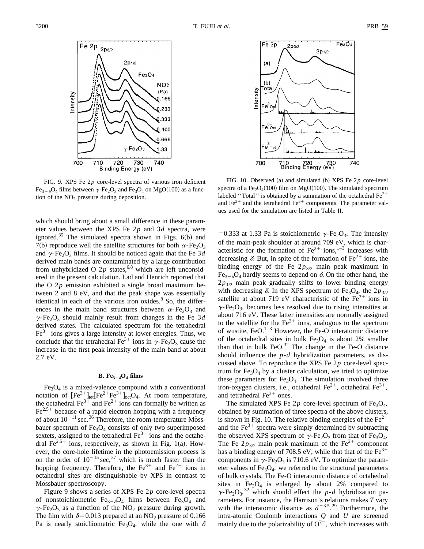

FIG. 9. XPS Fe 2*p* core-level spectra of various iron deficient  $Fe_{3-\delta}O_4$  films between  $\gamma$ -Fe<sub>2</sub>O<sub>3</sub> and Fe<sub>3</sub>O<sub>4</sub> on MgO(100) as a function of the  $NO<sub>2</sub>$  pressure during deposition.

which should bring about a small difference in these parameter values between the XPS Fe 2*p* and 3*d* spectra, were ignored.<sup>35</sup> The simulated spectra shown in Figs.  $6(b)$  and 7(b) reproduce well the satellite structures for both  $\alpha$ -Fe<sub>2</sub>O<sub>3</sub> and  $\gamma$ -Fe<sub>2</sub>O<sub>3</sub> films. It should be noticed again that the Fe 3*d* derived main bands are contaminated by a large contribution from unhybridized O  $2p$  states,<sup>6,8</sup> which are left unconsidered in the present calculation. Lad and Henrich reported that the O 2*p* emission exhibited a single broad maximum between 2 and 8 eV, and that the peak shape was essentially identical in each of the various iron oxides. $8$  So, the differences in the main band structures between  $\alpha$ -Fe<sub>2</sub>O<sub>3</sub> and  $\gamma$ -Fe<sub>2</sub>O<sub>3</sub> should mainly result from changes in the Fe 3*d* derived states. The calculated spectrum for the tetrahedral  $Fe<sup>3+</sup>$  ions gives a large intensity at lower energies. Thus, we conclude that the tetrahedral Fe<sup>3+</sup> ions in  $\gamma$ -Fe<sub>2</sub>O<sub>3</sub> cause the increase in the first peak intensity of the main band at about 2.7 eV.

## **B.** Fe<sub>3- $\delta$ </sub>O<sub>4</sub> films

 $Fe<sub>3</sub>O<sub>4</sub>$  is a mixed-valence compound with a conventional notation of  $[Fe^{3+}]_{\text{tet}}[Fe^{2+}Fe^{3+}]_{\text{oct}}[O_4$ . At room temperature, the octahedral  $Fe^{3+}$  and  $Fe^{2+}$  ions can formally be written as  $Fe<sup>2.5+</sup>$  because of a rapid electron hopping with a frequency of about  $10^{-11}$  sec.<sup>36</sup> Therefore, the room-temperature Mössbauer spectrum of  $Fe<sub>3</sub>O<sub>4</sub>$  consists of only two superimposed sextets, assigned to the tetrahedral  $Fe<sup>3+</sup>$  ions and the octahedral  $Fe^{2.5+}$  ions, respectively, as shown in Fig. 1(a). However, the core-hole lifetime in the photoemission process is on the order of  $10^{-15}$  sec,<sup>37</sup> which is much faster than the hopping frequency. Therefore, the  $Fe^{3+}$  and  $Fe^{2+}$  ions in octahedral sites are distinguishable by XPS in contrast to Mössbauer spectroscopy.

Figure 9 shows a series of XPS Fe 2*p* core-level spectra of nonstoichiometric  $Fe_{3-6}O_4$  films between  $Fe_3O_4$  and  $\gamma$ -Fe<sub>2</sub>O<sub>3</sub> as a function of the NO<sub>2</sub> pressure during growth. The film with  $\delta$ =0.013 prepared at an NO<sub>2</sub> pressure of 0.166 Pa is nearly stoichiometric Fe<sub>3</sub>O<sub>4</sub>, while the one with  $\delta$ 



FIG. 10. Observed (a) and simulated (b) XPS Fe  $2p$  core-level spectra of a Fe<sub>2</sub>O<sub>4</sub>(100) film on MgO(100). The simulated spectrum labeled "Total" is obtained by a summation of the octahedral  $Fe^{2+}$ and  $Fe<sup>3+</sup>$  and the tetrahedral  $Fe<sup>3+</sup>$  components. The parameter values used for the simulation are listed in Table II.

=0.333 at 1.33 Pa is stoichiometric  $\gamma$ -Fe<sub>2</sub>O<sub>3</sub>. The intensity of the main-peak shoulder at around 709 eV, which is characteristic for the formation of  $Fe^{2+}$  ions,<sup>1–3</sup> increases with decreasing  $\delta$ . But, in spite of the formation of Fe<sup>2+</sup> ions, the binding energy of the Fe  $2p_{3/2}$  main peak maximum in  $Fe_{3-\delta}O_4$  hardly seems to depend on  $\delta$ . On the other hand, the  $2p_{1/2}$  main peak gradually shifts to lower binding energy with decreasing  $\delta$ . In the XPS spectrum of Fe<sub>3</sub>O<sub>4</sub>, the 2 $p_{3/2}$ satellite at about 719 eV characteristic of the  $Fe<sup>3+</sup>$  ions in  $\gamma$ -Fe<sub>2</sub>O<sub>3</sub>, becomes less resolved due to rising intensities at about 716 eV. These latter intensities are normally assigned to the satellite for the  $Fe<sup>2+</sup>$  ions, analogous to the spectrum of wustite, FeO. $^{1-3}$  However, the Fe-O interatomic distance of the octahedral sites in bulk  $Fe<sub>3</sub>O<sub>4</sub>$  is about 2% smaller than that in bulk FeO. $32$  The change in the Fe-O distance should influence the *p*-*d* hybridization parameters, as discussed above. To reproduce the XPS Fe 2*p* core-level spectrum for  $Fe<sub>3</sub>O<sub>4</sub>$  by a cluster calculation, we tried to optimize these parameters for  $Fe<sub>3</sub>O<sub>4</sub>$ . The simulation involved three iron-oxygen clusters, i.e., octahedral  $Fe^{2+}$ , octahedral  $Fe^{3+}$ , and tetrahedral  $Fe<sup>3+</sup>$  ones.

The simulated XPS Fe  $2p$  core-level spectrum of Fe<sub>3</sub>O<sub>4</sub>, obtained by summation of three spectra of the above clusters, is shown in Fig. 10. The relative binding energies of the  $Fe^{2+}$ and the  $Fe^{3+}$  spectra were simply determined by subtracting the observed XPS spectrum of  $\gamma$ -Fe<sub>2</sub>O<sub>3</sub> from that of Fe<sub>3</sub>O<sub>4</sub>. The Fe  $2p_{3/2}$  main peak maximum of the Fe<sup>2+</sup> component has a binding energy of 708.5 eV, while that that of the  $Fe^{3+}$ components in  $\gamma$ -Fe<sub>2</sub>O<sub>3</sub> is 710.6 eV. To optimize the parameter values of  $Fe<sub>3</sub>O<sub>4</sub>$ , we referred to the structural parameters of bulk crystals. The Fe-O interatomic distance of octahedral sites in  $Fe<sub>3</sub>O<sub>4</sub>$  is enlarged by about 2% compared to  $\gamma$ -Fe<sub>2</sub>O<sub>3</sub>,<sup>32</sup> which should effect the *p*-*d* hybridization parameters. For instance, the Harrison's relations makes *T* vary with the interatomic distance as  $d^{-3.5}$ .<sup>29</sup> Furthermore, the intra-atomic Coulomb interactions *Q* and *U* are screened mainly due to the polarizability of  $O^{2-}$ , which increases with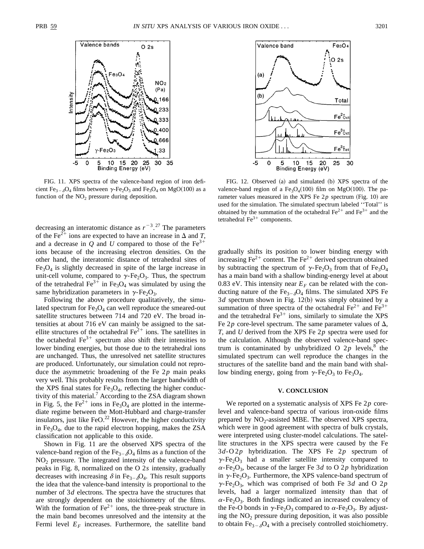

FIG. 11. XPS spectra of the valence-band region of iron deficient Fe<sub>3- $\delta$ </sub>O<sub>4</sub> films between  $\gamma$ -Fe<sub>2</sub>O<sub>3</sub> and Fe<sub>3</sub>O<sub>4</sub> on MgO(100) as a function of the  $NO<sub>2</sub>$  pressure during deposition.

decreasing an interatomic distance as  $r^{-3}$ .<sup>27</sup> The parameters of the Fe<sup>2+</sup> ions are expected to have an increase in  $\Delta$  and *T*, and a decrease in *Q* and *U* compared to those of the  $Fe<sup>3+</sup>$ ions because of the increasing electron densities. On the other hand, the interatomic distance of tetrahedral sites of  $Fe<sub>3</sub>O<sub>4</sub>$  is slightly decreased in spite of the large increase in unit-cell volume, compared to  $\gamma$ -Fe<sub>2</sub>O<sub>3</sub>. Thus, the spectrum of the tetrahedral  $Fe<sup>3+</sup>$  in Fe<sub>3</sub>O<sub>4</sub> was simulated by using the same hybridization parameters in  $\gamma$ -Fe<sub>2</sub>O<sub>3</sub>.

Following the above procedure qualitatively, the simulated spectrum for  $Fe<sub>3</sub>O<sub>4</sub>$  can well reproduce the smeared-out satellite structures between 714 and 720 eV. The broad intensities at about 716 eV can mainly be assigned to the satellite structures of the octahedral  $Fe<sup>2+</sup>$  ions. The satellites in the octahedral  $Fe<sup>3+</sup>$  spectrum also shift their intensities to lower binding energies, but those due to the tetrahedral ions are unchanged. Thus, the unresolved net satellite structures are produced. Unfortunately, our simulation could not reproduce the asymmetric broadening of the Fe 2*p* main peaks very well. This probably results from the larger bandwidth of the XPS final states for  $Fe<sub>3</sub>O<sub>4</sub>$ , reflecting the higher conductivity of this material.<sup>7</sup> According to the ZSA diagram shown in Fig. 5, the Fe<sup>2+</sup> ions in Fe<sub>3</sub>O<sub>4</sub> are plotted in the intermediate regime between the Mott-Hubbard and charge-transfer insulators, just like  $FeO.<sup>22</sup>$  However, the higher conductivity in  $Fe<sub>3</sub>O<sub>4</sub>$ , due to the rapid electron hopping, makes the ZSA classification not applicable to this oxide.

Shown in Fig. 11 are the observed XPS spectra of the valence-band region of the Fe<sub>3- $\delta$ </sub>O<sub>4</sub> films as a function of the NO2 pressure. The integrated intensity of the valence-band peaks in Fig. 8, normalized on the O 2*s* intensity, gradually decreases with increasing  $\delta$  in Fe<sub>3- $\delta$ </sub>O<sub>4</sub>. This result supports the idea that the valence-band intensity is proportional to the number of 3*d* electrons. The spectra have the structures that are strongly dependent on the stoichiometry of the films. With the formation of  $Fe^{2+}$  ions, the three-peak structure in the main band becomes unresolved and the intensity at the Fermi level  $E_F$  increases. Furthermore, the satellite band



FIG. 12. Observed (a) and simulated (b) XPS spectra of the valence-band region of a  $Fe<sub>3</sub>O<sub>4</sub>(100)$  film on MgO(100). The parameter values measured in the XPS Fe  $2p$  spectrum (Fig. 10) are used for the simulation. The simulated spectrum labeled ''Total'' is obtained by the summation of the octahedral  $Fe^{2+}$  and  $Fe^{3+}$  and the tetrahedral  $Fe<sup>3+</sup>$  components.

gradually shifts its position to lower binding energy with increasing  $Fe^{2+}$  content. The  $Fe^{2+}$  derived spectrum obtained by subtracting the spectrum of  $\gamma$ -Fe<sub>2</sub>O<sub>3</sub> from that of Fe<sub>3</sub>O<sub>4</sub> has a main band with a shallow binding-energy level at about 0.83 eV. This intensity near  $E_F$  can be related with the conducting nature of the  $Fe_{3-6}O_4$  films. The simulated XPS Fe  $3d$  spectrum shown in Fig.  $12(b)$  was simply obtained by a summation of three spectra of the octahedral  $Fe^{2+}$  and  $Fe^{3+}$ and the tetrahedral  $\text{Fe}^{3+}$  ions, similarly to simulate the XPS Fe 2*p* core-level spectrum. The same parameter values of  $\Delta$ , *T*, and *U* derived from the XPS Fe 2*p* spectra were used for the calculation. Although the observed valence-band spectrum is contaminated by unhybridized O  $2p$  levels,<sup>8</sup> the simulated spectrum can well reproduce the changes in the structures of the satellite band and the main band with shallow binding energy, going from  $\gamma$ -Fe<sub>2</sub>O<sub>3</sub> to Fe<sub>3</sub>O<sub>4</sub>.

#### **V. CONCLUSION**

We reported on a systematic analysis of XPS Fe 2*p* corelevel and valence-band spectra of various iron-oxide films prepared by  $NO<sub>2</sub>$ -assisted MBE. The observed XPS spectra, which were in good agreement with spectra of bulk crystals, were interpreted using cluster-model calculations. The satellite structures in the XPS spectra were caused by the Fe 3*d*-O2*p* hybridization. The XPS Fe 2*p* spectrum of  $\gamma$ -Fe<sub>2</sub>O<sub>3</sub> had a smaller satellite intensity compared to  $\alpha$ -Fe<sub>2</sub>O<sub>3</sub>, because of the larger Fe 3*d* to O 2*p* hybridization in  $\gamma$ -Fe<sub>2</sub>O<sub>3</sub>. Furthermore, the XPS valence-band spectrum of  $\gamma$ -Fe<sub>2</sub>O<sub>3</sub>, which was comprised of both Fe 3*d* and O 2*p* levels, had a larger normalized intensity than that of  $\alpha$ -Fe<sub>2</sub>O<sub>3</sub>. Both findings indicated an increased covalency of the Fe-O bonds in  $\gamma$ -Fe<sub>2</sub>O<sub>3</sub> compared to  $\alpha$ -Fe<sub>2</sub>O<sub>3</sub>. By adjusting the  $NO<sub>2</sub>$  pressure during deposition, it was also possible to obtain  $Fe_{3-\delta}O_4$  with a precisely controlled stoichiometry.